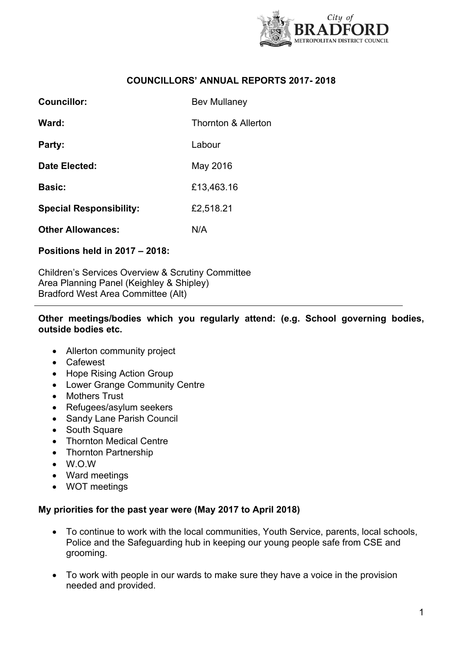

### **COUNCILLORS' ANNUAL REPORTS 2017- 2018**

| <b>Councillor:</b>             | <b>Bev Mullaney</b>            |
|--------------------------------|--------------------------------|
| Ward:                          | <b>Thornton &amp; Allerton</b> |
| Party:                         | Labour                         |
| Date Elected:                  | May 2016                       |
| <b>Basic:</b>                  | £13,463.16                     |
| <b>Special Responsibility:</b> | £2,518.21                      |
| <b>Other Allowances:</b>       | N/A                            |

# **Positions held in 2017 – 2018:**

Children's Services Overview & Scrutiny Committee Area Planning Panel (Keighley & Shipley) Bradford West Area Committee (Alt)

#### **Other meetings/bodies which you regularly attend: (e.g. School governing bodies, outside bodies etc.**

- Allerton community project
- Cafewest
- Hope Rising Action Group
- Lower Grange Community Centre
- Mothers Trust
- Refugees/asylum seekers
- Sandy Lane Parish Council
- South Square
- Thornton Medical Centre
- Thornton Partnership
- W.O.W
- Ward meetings
- WOT meetings

### **My priorities for the past year were (May 2017 to April 2018)**

- To continue to work with the local communities, Youth Service, parents, local schools, Police and the Safeguarding hub in keeping our young people safe from CSE and grooming.
- To work with people in our wards to make sure they have a voice in the provision needed and provided.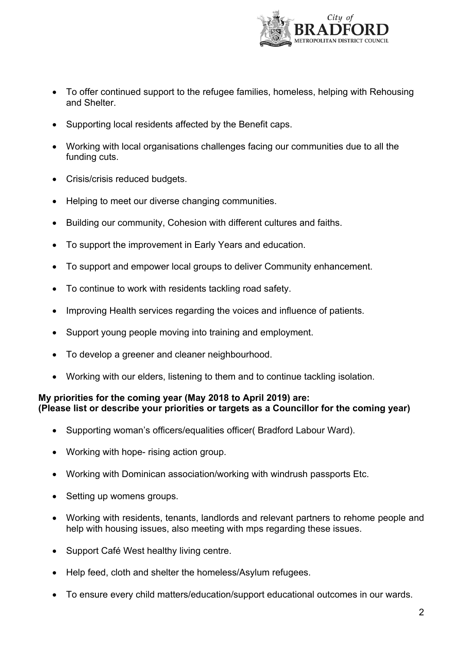

- To offer continued support to the refugee families, homeless, helping with Rehousing and Shelter.
- Supporting local residents affected by the Benefit caps.
- Working with local organisations challenges facing our communities due to all the funding cuts.
- Crisis/crisis reduced budgets.
- Helping to meet our diverse changing communities.
- Building our community, Cohesion with different cultures and faiths.
- To support the improvement in Early Years and education.
- To support and empower local groups to deliver Community enhancement.
- To continue to work with residents tackling road safety.
- Improving Health services regarding the voices and influence of patients.
- Support young people moving into training and employment.
- To develop a greener and cleaner neighbourhood.
- Working with our elders, listening to them and to continue tackling isolation.

# **My priorities for the coming year (May 2018 to April 2019) are: (Please list or describe your priorities or targets as a Councillor for the coming year)**

- Supporting woman's officers/equalities officer( Bradford Labour Ward).
- Working with hope- rising action group.
- Working with Dominican association/working with windrush passports Etc.
- Setting up womens groups.
- Working with residents, tenants, landlords and relevant partners to rehome people and help with housing issues, also meeting with mps regarding these issues.
- Support Café West healthy living centre.
- Help feed, cloth and shelter the homeless/Asylum refugees.
- To ensure every child matters/education/support educational outcomes in our wards.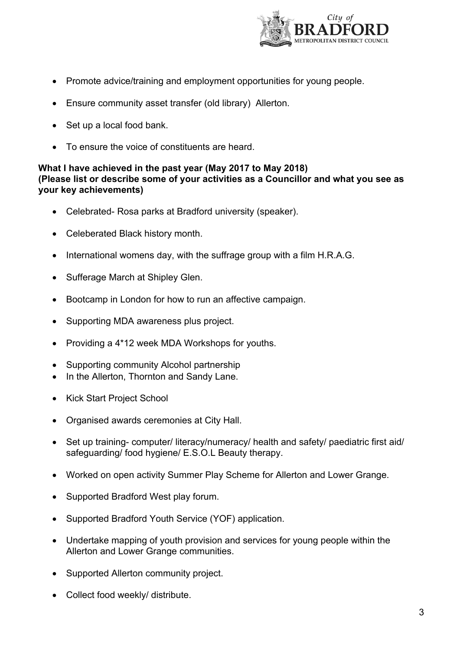

- Promote advice/training and employment opportunities for young people.
- Ensure community asset transfer (old library) Allerton.
- Set up a local food bank.
- To ensure the voice of constituents are heard.

### **What I have achieved in the past year (May 2017 to May 2018) (Please list or describe some of your activities as a Councillor and what you see as your key achievements)**

- Celebrated- Rosa parks at Bradford university (speaker).
- Celeberated Black history month.
- $\bullet$  International womens day, with the suffrage group with a film H.R.A.G.
- Sufferage March at Shipley Glen.
- Bootcamp in London for how to run an affective campaign.
- Supporting MDA awareness plus project.
- Providing a 4\*12 week MDA Workshops for youths.
- Supporting community Alcohol partnership
- In the Allerton, Thornton and Sandy Lane.
- Kick Start Project School
- Organised awards ceremonies at City Hall.
- Set up training- computer/ literacy/numeracy/ health and safety/ paediatric first aid/ safeguarding/ food hygiene/ E.S.O.L Beauty therapy.
- Worked on open activity Summer Play Scheme for Allerton and Lower Grange.
- Supported Bradford West play forum.
- Supported Bradford Youth Service (YOF) application.
- Undertake mapping of youth provision and services for young people within the Allerton and Lower Grange communities.
- Supported Allerton community project.
- Collect food weekly/ distribute.